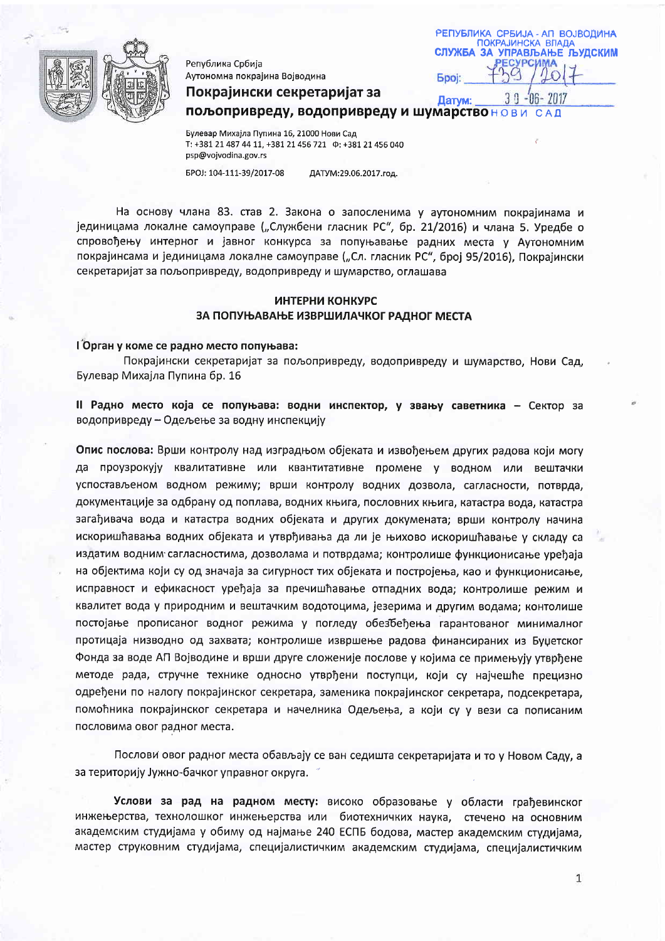

Република Србија Аутономна покрајина Војводина

| РЕПУБЛИКА СРБИЈА - АП ВОЈВОДИНА                         |  |
|---------------------------------------------------------|--|
| <b>ПОКРАЈИНСКА ВЛАДА</b><br>СЛУЖБА ЗА УПРАВЉАЊЕ ЉУДСКИМ |  |
|                                                         |  |
| <b>Booi:</b>                                            |  |

 $-06 - 2017$ 

Покрајински секретаријат за  $3<sub>0</sub>$ Патум: пољопривреду, водопривреду и шумарствонови

Булевар Михајла Пупина 16, 21000 Нови Сад T: +381 21 487 44 11, +381 21 456 721  $\Phi$ : +381 21 456 040 psp@vojvodina.gov.rs

EPOJ: 104-111-39/2017-08 ДАТУМ:29.06.2017.год.

На основу члана 83. став 2. Закона о запосленима у аутономним покрајинама и јединицама локалне самоуправе ("Службени гласник РС", бр. 21/2016) и члана 5. Уредбе о спровођењу интерног и јавног конкурса за попуњавање радних места у Аутономним покрајинсама и јединицама локалне самоуправе ("Сл. гласник РС", број 95/2016), Покрајински секретаријат за пољопривреду, водопривреду и шумарство, оглашава

## ИНТЕРНИ КОНКУРС ЗА ПОПУЊАВАЊЕ ИЗВРШИЛАЧКОГ РАДНОГ МЕСТА

#### ГОрган у коме се радно место попуњава:

Покрајински секретаријат за пољопривреду, водопривреду и шумарство, Нови Сад, Булевар Михајла Пупина бр. 16

II Радно место која се попуњава: водни инспектор, у звању саветника - Сектор за водопривреду - Одељење за водну инспекцију

Опис послова: Врши контролу над изградњом објеката и извођењем других радова који могу да проузрокују квалитативне или квантитативне промене у водном или вештачки успостављеном водном режиму; врши контролу водних дозвола, сагласности, потврда, документације за одбрану од поплава, водних књига, пословних књига, катастра вода, катастра загађивача вода и катастра водних објеката и других докумената; врши контролу начина искоришћавања водних објеката и утврђивања да ли је њихово искоришћавање у складу са издатим водним сагласностима, дозволама и потврдама; контролише функционисање уређаја на објектима који су од значаја за сигурност тих објеката и постројења, као и функционисање, исправност и ефикасност уређаја за пречишћавање отпадних вода; контролише режим и квалитет вода у природним и вештачким водотоцима, језерима и другим водама; контолише постојање прописаног водног режима у погледу обезбеђења гарантованог минималног протицаја низводно од захвата; контролише извршење радова финансираних из Буџетског Фонда за воде АП Војводине и врши друге сложеније послове у којима се примењују утврђене методе рада, стручне технике односно утврђени поступци, који су најчешће прецизно одређени по налогу покрајинског секретара, заменика покрајинског секретара, подсекретара, помоћника покрајинског секретара и начелника Одељења, а који су у вези са пописаним пословима овог радног места.

Послови овог радног места обављају се ван седишта секретаријата и то у Новом Саду, а за територију Јужно-бачког управног округа.

Услови за рад на радном месту: високо образовање у области грађевинског инжењерства, технолошког инжењерства или биотехничких наука, стечено на основним академским студијама у обиму од најмање 240 ЕСПБ бодова, мастер академским студијама, мастер струковним студијама, специјалистичким академским студијама, специјалистичким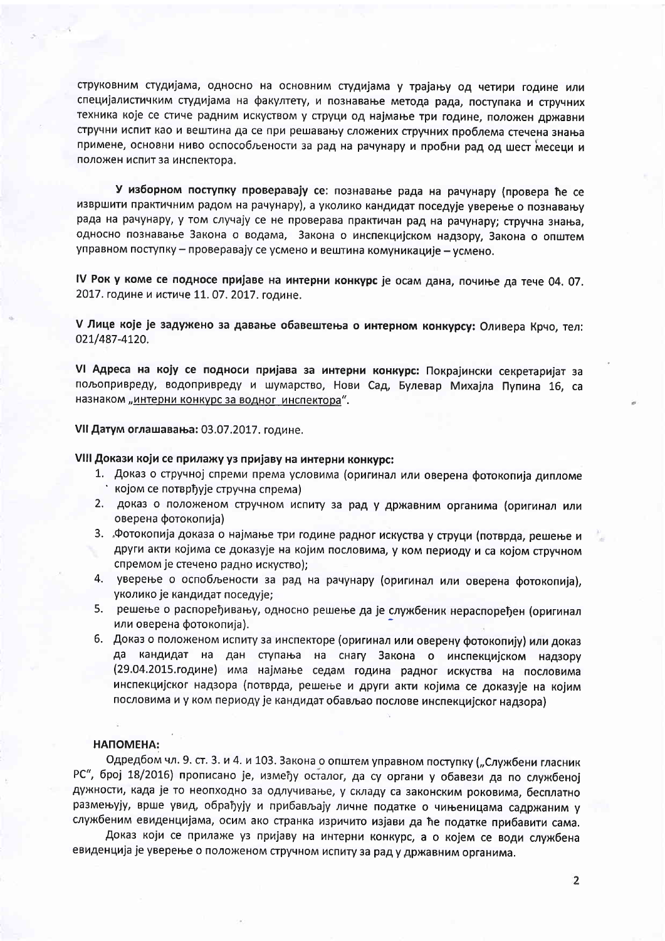струковним студијама, односно на основним студијама у трајању од четири године или специјалистичким студијама на факултету, и познавање метода рада, поступака и стручних техника које се стиче радним искуством у струци од најмање три године, положен државни стручни испит као и вештина да се при решавању сложених стручних проблема стечена знања примене, основни ниво оспособљености за рад на рачунару и пробни рад од шест месеци и положен испит за инспектора.

У изборном поступку проверавају се: познавање рада на рачунару (провера ће се извршити практичним радом на рачунару), а уколико кандидат поседује уверење о познавању рада на рачунару, у том случају се не проверава практичан рад на рачунару; стручна знања, односно познавање Закона о водама, Закона о инспекцијском надзору, Закона о општем управном поступку - проверавају се усмено и вештина комуникације - усмено.

IV Рок у коме се подносе пријаве на интерни конкурс је осам дана, почиње да тече 04. 07. 2017. године и истиче 11.07. 2017. године.

V Лице које је задужено за давање обавештења о интерном конкурсу: Оливера Крчо, тел: 021/487-4120.

VI Адреса на коју се подноси пријава за интерни конкурс: Покрајински секретаријат за пољопривреду, водопривреду и шумарство, Нови Сад, Булевар Михајла Пупина 16, са назнаком "интерни конкурс за водног инспектора".

VII Датум оглашавања: 03.07.2017. године.

# VIII Докази који се прилажу уз пријаву на интерни конкурс:

- 1. Доказ о стручној спреми према условима (оригинал или оверена фотокопија дипломе којом се потврђује стручна спрема)
- 2. доказ о положеном стручном испиту за рад у државним органима (оригинал или оверена фотокопија)
- 3. Фотокопија доказа о најмање три године радног искуства у струци (потврда, решење и други акти којима се доказује на којим пословима, у ком периоду и са којом стручном спремом је стечено радно искуство):
- 4. уверење о оспобљености за рад на рачунару (оригинал или оверена фотокопија), уколико је кандидат поседује;
- 5. решење о распоређивању, односно решење да је службеник нераспоређен (оригинал или оверена фотокопија).
- 6. Доказ о положеном испиту за инспекторе (оригинал или оверену фотокопију) или доказ да кандидат на дан ступања на снагу Закона о инспекцијском надзору (29.04.2015.године) има најмање седам година радног искуства на пословима инспекцијског надзора (потврда, решење и други акти којима се доказује на којим пословима и у ком периоду је кандидат обављао послове инспекцијског надзора)

### НАПОМЕНА:

Одредбом чл. 9. ст. 3. и 4. и 103. Закона о општем управном поступку ("Службени гласник РС", број 18/2016) прописано је, између осталог, да су органи у обавези да по службеној дужности, када је то неопходно за одлучивање, у складу са законским роковима, бесплатно размењују, врше увид, обрађују и прибављају личне податке о чињеницама садржаним у службеним евиденцијама, осим ако странка изричито изјави да ће податке прибавити сама.

Доказ који се прилаже уз пријаву на интерни конкурс, а о којем се води службена евиденција је уверење о положеном стручном испиту за рад у државним органима.

 $\overline{2}$